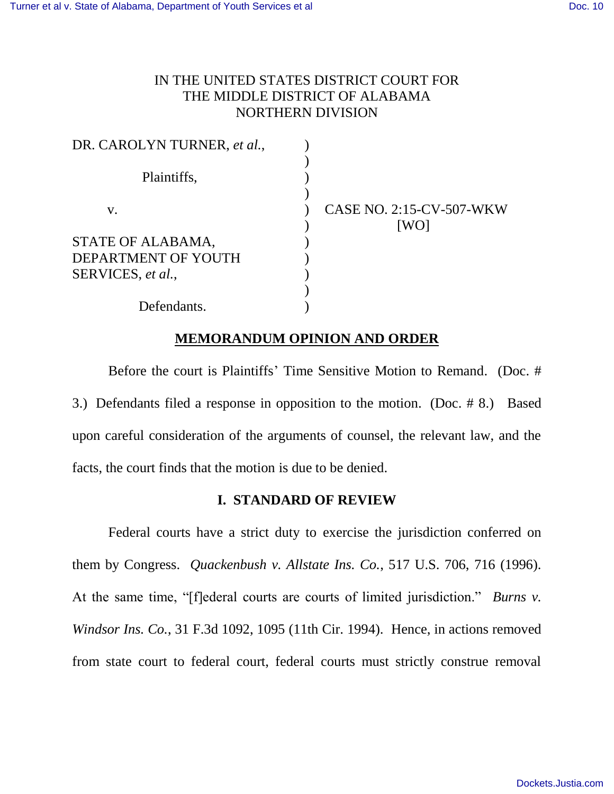# IN THE UNITED STATES DISTRICT COURT FOR THE MIDDLE DISTRICT OF ALABAMA NORTHERN DIVISION

| DR. CAROLYN TURNER, et al., |                          |
|-----------------------------|--------------------------|
| Plaintiffs,                 |                          |
| V.                          | CASE NO. 2:15-CV-507-WKW |
| STATE OF ALABAMA,           | [WO]                     |
| DEPARTMENT OF YOUTH         |                          |
| SERVICES, et al.,           |                          |
| Defendants.                 |                          |

## **MEMORANDUM OPINION AND ORDER**

Before the court is Plaintiffs' Time Sensitive Motion to Remand. (Doc. # 3.) Defendants filed a response in opposition to the motion. (Doc. # 8.) Based upon careful consideration of the arguments of counsel, the relevant law, and the facts, the court finds that the motion is due to be denied.

### **I. STANDARD OF REVIEW**

Federal courts have a strict duty to exercise the jurisdiction conferred on them by Congress. *Quackenbush v. Allstate Ins. Co.*, 517 U.S. 706, 716 (1996). At the same time, "[f]ederal courts are courts of limited jurisdiction." *Burns v. Windsor Ins. Co.*, 31 F.3d 1092, 1095 (11th Cir. 1994). Hence, in actions removed from state court to federal court, federal courts must strictly construe removal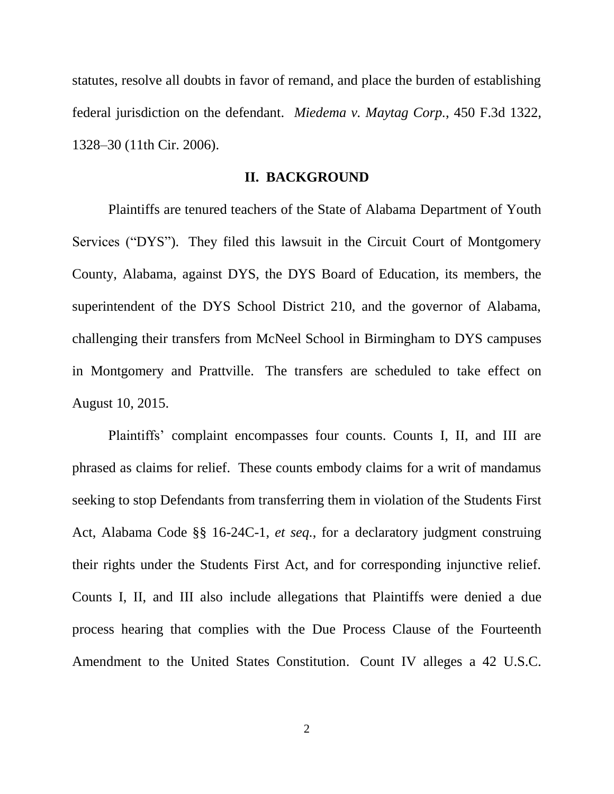statutes, resolve all doubts in favor of remand, and place the burden of establishing federal jurisdiction on the defendant. *Miedema v. Maytag Corp.*, 450 F.3d 1322, 1328–30 (11th Cir. 2006).

#### **II. BACKGROUND**

Plaintiffs are tenured teachers of the State of Alabama Department of Youth Services ("DYS"). They filed this lawsuit in the Circuit Court of Montgomery County, Alabama, against DYS, the DYS Board of Education, its members, the superintendent of the DYS School District 210, and the governor of Alabama, challenging their transfers from McNeel School in Birmingham to DYS campuses in Montgomery and Prattville. The transfers are scheduled to take effect on August 10, 2015.

Plaintiffs' complaint encompasses four counts. Counts I, II, and III are phrased as claims for relief. These counts embody claims for a writ of mandamus seeking to stop Defendants from transferring them in violation of the Students First Act, Alabama Code §§ 16-24C-1, *et seq.*, for a declaratory judgment construing their rights under the Students First Act, and for corresponding injunctive relief. Counts I, II, and III also include allegations that Plaintiffs were denied a due process hearing that complies with the Due Process Clause of the Fourteenth Amendment to the United States Constitution. Count IV alleges a 42 U.S.C.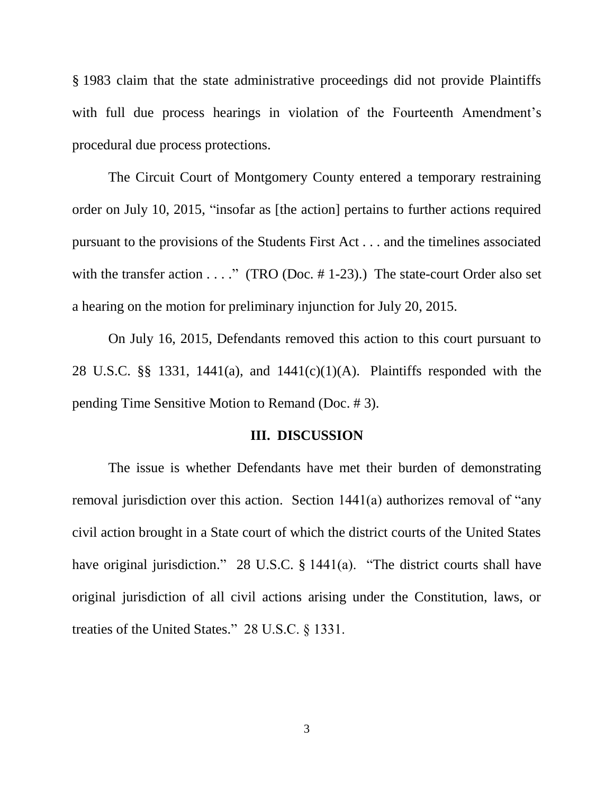§ 1983 claim that the state administrative proceedings did not provide Plaintiffs with full due process hearings in violation of the Fourteenth Amendment's procedural due process protections.

The Circuit Court of Montgomery County entered a temporary restraining order on July 10, 2015, "insofar as [the action] pertains to further actions required pursuant to the provisions of the Students First Act . . . and the timelines associated with the transfer action  $\dots$ ." (TRO (Doc. #1-23).) The state-court Order also set a hearing on the motion for preliminary injunction for July 20, 2015.

On July 16, 2015, Defendants removed this action to this court pursuant to 28 U.S.C. §§ 1331, 1441(a), and 1441(c)(1)(A). Plaintiffs responded with the pending Time Sensitive Motion to Remand (Doc. # 3).

#### **III. DISCUSSION**

The issue is whether Defendants have met their burden of demonstrating removal jurisdiction over this action. Section 1441(a) authorizes removal of "any civil action brought in a State court of which the district courts of the United States have original jurisdiction." 28 U.S.C. § 1441(a). "The district courts shall have original jurisdiction of all civil actions arising under the Constitution, laws, or treaties of the United States." 28 U.S.C. § 1331.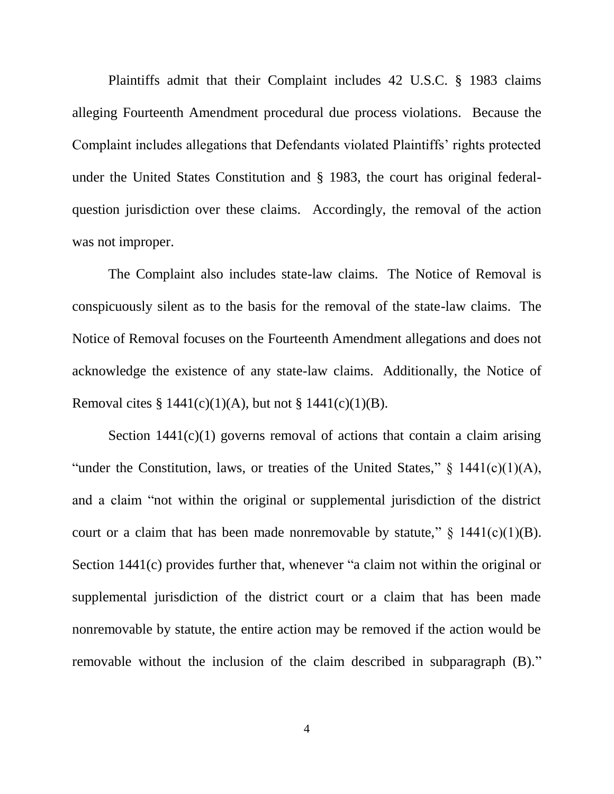Plaintiffs admit that their Complaint includes 42 U.S.C. § 1983 claims alleging Fourteenth Amendment procedural due process violations. Because the Complaint includes allegations that Defendants violated Plaintiffs' rights protected under the United States Constitution and § 1983, the court has original federalquestion jurisdiction over these claims. Accordingly, the removal of the action was not improper.

The Complaint also includes state-law claims. The Notice of Removal is conspicuously silent as to the basis for the removal of the state-law claims. The Notice of Removal focuses on the Fourteenth Amendment allegations and does not acknowledge the existence of any state-law claims. Additionally, the Notice of Removal cites §  $1441(c)(1)(A)$ , but not §  $1441(c)(1)(B)$ .

Section  $1441(c)(1)$  governs removal of actions that contain a claim arising "under the Constitution, laws, or treaties of the United States,"  $\S$  1441(c)(1)(A), and a claim "not within the original or supplemental jurisdiction of the district court or a claim that has been made nonremovable by statute,"  $\S$  1441(c)(1)(B). Section 1441(c) provides further that, whenever "a claim not within the original or supplemental jurisdiction of the district court or a claim that has been made nonremovable by statute, the entire action may be removed if the action would be removable without the inclusion of the claim described in subparagraph (B)."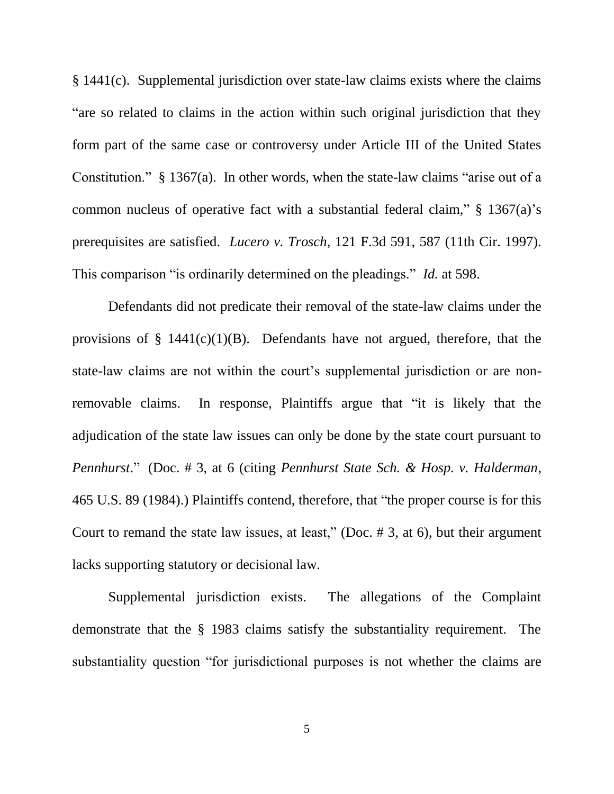§ 1441(c). Supplemental jurisdiction over state-law claims exists where the claims "are so related to claims in the action within such original jurisdiction that they form part of the same case or controversy under Article III of the United States Constitution." § 1367(a). In other words, when the state-law claims "arise out of a common nucleus of operative fact with a substantial federal claim," § 1367(a)'s prerequisites are satisfied. *Lucero v. Trosch*, 121 F.3d 591, 587 (11th Cir. 1997). This comparison "is ordinarily determined on the pleadings." *Id.* at 598.

Defendants did not predicate their removal of the state-law claims under the provisions of  $\S$  1441(c)(1)(B). Defendants have not argued, therefore, that the state-law claims are not within the court's supplemental jurisdiction or are nonremovable claims. In response, Plaintiffs argue that "it is likely that the adjudication of the state law issues can only be done by the state court pursuant to *Pennhurst*." (Doc. # 3, at 6 (citing *Pennhurst State Sch. & Hosp. v. Halderman*, 465 U.S. 89 (1984).) Plaintiffs contend, therefore, that "the proper course is for this Court to remand the state law issues, at least," (Doc. # 3, at 6), but their argument lacks supporting statutory or decisional law.

Supplemental jurisdiction exists. The allegations of the Complaint demonstrate that the § 1983 claims satisfy the substantiality requirement. The substantiality question "for jurisdictional purposes is not whether the claims are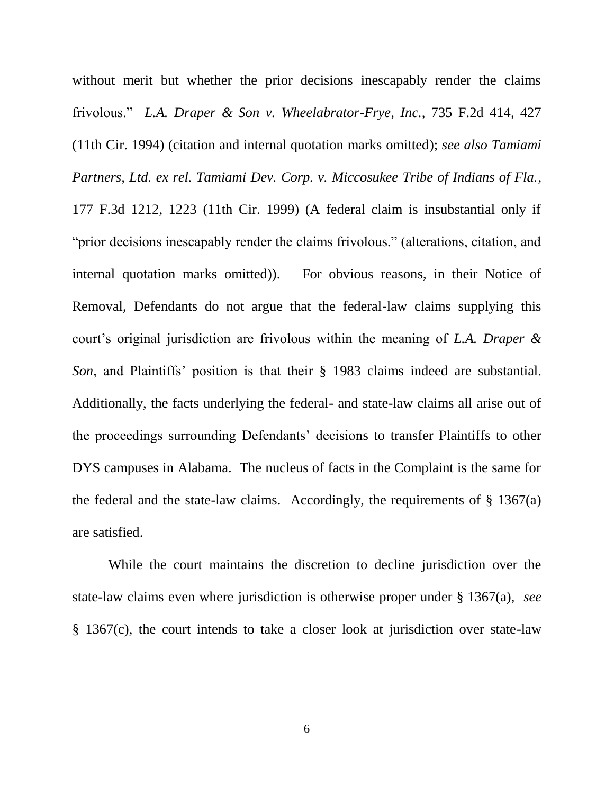without merit but whether the prior decisions inescapably render the claims frivolous." *L.A. Draper & Son v. Wheelabrator-Frye, Inc.*, 735 F.2d 414, 427 (11th Cir. 1994) (citation and internal quotation marks omitted); *see also Tamiami Partners, Ltd. ex rel. Tamiami Dev. Corp. v. Miccosukee Tribe of Indians of Fla.*, 177 F.3d 1212, 1223 (11th Cir. 1999) (A federal claim is insubstantial only if "prior decisions inescapably render the claims frivolous." (alterations, citation, and internal quotation marks omitted)). For obvious reasons, in their Notice of Removal, Defendants do not argue that the federal-law claims supplying this court's original jurisdiction are frivolous within the meaning of *L.A. Draper & Son*, and Plaintiffs' position is that their § 1983 claims indeed are substantial. Additionally, the facts underlying the federal- and state-law claims all arise out of the proceedings surrounding Defendants' decisions to transfer Plaintiffs to other DYS campuses in Alabama. The nucleus of facts in the Complaint is the same for the federal and the state-law claims. Accordingly, the requirements of  $\S 1367(a)$ are satisfied.

While the court maintains the discretion to decline jurisdiction over the state-law claims even where jurisdiction is otherwise proper under § 1367(a), *see* § 1367(c), the court intends to take a closer look at jurisdiction over state-law